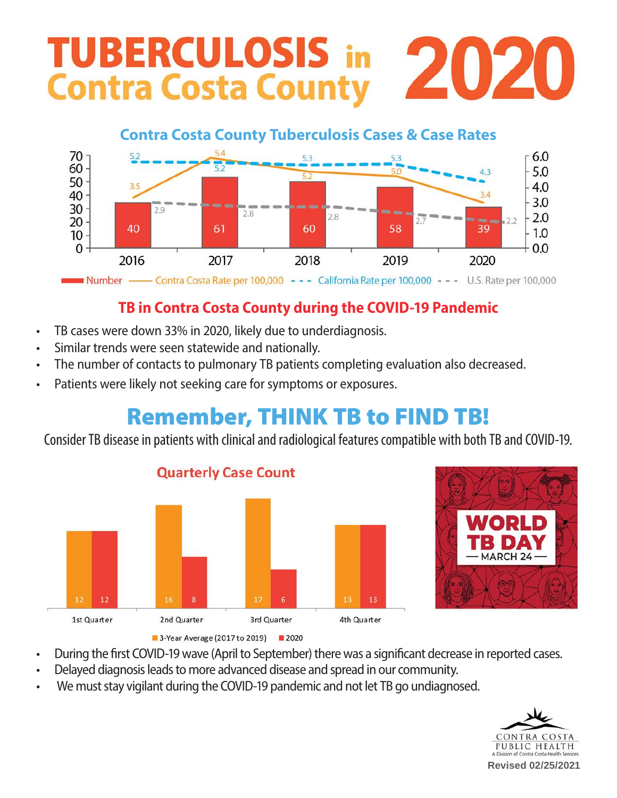# **TUBERCULOSIS in** 2020 **Contra Costa County**

#### Contra Costa County Tuberculosis Cases & Case Rates **Contra Costa County Tuberculosis Cases & Case Rates**  $70$  1  $^{5.2}$   $^{5.4}$  $\sqrt{6.0}$  $60 + 5.2$  $t = \frac{5.0}{5.0}$  and  $t = \frac{4.3}{5.0}$  here is the interval here in  $t = 5.0$  $50<sub>1</sub>$  as school health screening at his screening at his school health screening at his screening at his screening at  $h = 3.5$  $\overline{\phantom{a}}$   $\overline{\phantom{a}}$   $\overline{\phantom{a}}$   $\overline{\phantom{a}}$   $\overline{\phantom{a}}$   $\overline{\phantom{a}}$   $\overline{\phantom{a}}$   $\overline{\phantom{a}}$   $\overline{\phantom{a}}$   $\overline{\phantom{a}}$   $\overline{\phantom{a}}$   $\overline{\phantom{a}}$   $\overline{\phantom{a}}$   $\overline{\phantom{a}}$   $\overline{\phantom{a}}$   $\overline{\phantom{a}}$   $\overline{\phantom{a}}$   $\overline{\phantom{a}}$   $\overline{\$  $\overline{A}$  school in Martinez. At the inner in  $\overline{A}$  $\overline{\phantom{a}3.4}$   $\overline{\phantom{a}3.4}$   $\overline{\phantom{a}2.0}$  $30 - 29$ in many parts of the world today. 2.0  $20 - \frac{1}{20}$ 60  $\begin{array}{|c|c|c|c|c|c|c|c|c|} \hline & & & & & & & -1.0 & \hline \end{array}$  $10 - 1$   $10 - 1$  $\begin{array}{c} \hline \mathbf{0} & \mathbf{0} \end{array}$  $\frac{1}{2019}$  2020  $+0.0$ eat and health in the health for  $2016$ 2018  $p_{\text{min}}$  bumber  $\epsilon$  contro Cesta Data part  $100,000$  $T_{\text{R}}$  Poto por 100,000  $\sim$  The Costa partment DO 000  $h_{\text{H}}$  internet  $\frac{1}{2}$  contra Costa nate per Tbb,000 California hate per 100,000  $- - -$  0.5, hate per 100,000

#### $W(x) = \frac{1}{2} \sum_{i=1}^{n} \frac{1}{2} \sum_{j=1}^{n} \frac{1}{2} \sum_{j=1}^{n} \frac{1}{2} \sum_{j=1}^{n} \frac{1}{2} \sum_{j=1}^{n} \frac{1}{2} \sum_{j=1}^{n} \frac{1}{2} \sum_{j=1}^{n} \frac{1}{2} \sum_{j=1}^{n} \frac{1}{2} \sum_{j=1}^{n} \frac{1}{2} \sum_{j=1}^{n} \frac{1}{2} \sum_{j=1}^{n} \frac{1}{2} \sum_{j=1}^{n} \frac{1}{2} \sum_{j=$ contra Costa Coun  $t_{\text{in}}$  and  $t_{\text{in}}$  for  $\theta$  on  $\theta$  our community. TB in Contra Costa County during the COVID-19 Pandemic

- $\cdot$  TR cases were down 33% in 2020 likely du remained with  $\frac{1}{2}$  your  $\frac{1}{2}$  years, the next  $\frac{1}{2}$ • TB cases were down 33% in 2020, likely due to underdiagnosis.  $\alpha$ exposed to  $\beta$  to  $\beta$  treatment  $\beta$  treatment  $\beta$
- Similar trends were seen statewide and nationally.
- The number of contacts to pulmonary TB patients completing evaluation also decreased.  $\mathcal{A}$
- Costiants were likely not socking sare for syr x and the weight interventies of the was 1977.  $\Omega$  or exposured Technicians monotor  $\Omega$ • Patients were likely not seeking care for symptoms or exposures.

#### contracted TB today, he would be one of only 40 cases in the county Remember. The rate of  $\mathbf r$ receive effective treatment, and those exposed to Remember, THINK TB to FIND TB!

 $\epsilon$  in The  $\epsilon$  fold since 1938. Mario  $\epsilon$ Consider TB disease in patients with clinical and ra  $\frac{1}{2}$  countries (B-Immigrants) and received and received and received and received and received and received and received and received and received and received and received and received and received and received and Consider TB disease in patients with clinical and radiological features compatible with both TB and COVID-19.





- During the first COVID-19 wave (April to September) there was a significant decrease in reported cases.
- Delayed diagnosis leads to more advanced disease and spread in our community.
- We must stay vigilant during the COVID-19 pandemic and not let TB go undiagnosed.



**Revised 02/25/2021**